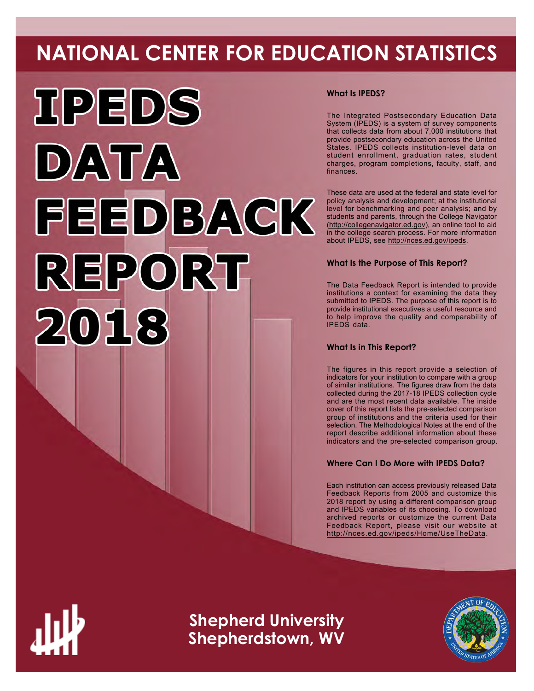# **NATIONAL CENTER FOR EDUCATION STATISTICS**



# **What Is IPEDS?**

The Integrated Postsecondary Education Data System (IPEDS) is a system of survey components that collects data from about 7,000 institutions that provide postsecondary education across the United States. IPEDS collects institution-level data on student enrollment, graduation rates, student charges, program completions, faculty, staff, and finances.

These data are used at the federal and state level for policy analysis and development; at the institutional level for benchmarking and peer analysis; and by students and parents, through the College Navigator ([http://collegenavigator.ed.gov\)](http://collegenavigator.ed.gov), an online tool to aid in the college search process. For more information about IPEDS, see [http://nces.ed.gov/ipeds.](http://nces.ed.gov/ipeds)

# **What Is the Purpose of This Report?**

The Data Feedback Report is intended to provide institutions a context for examining the data they submitted to IPEDS. The purpose of this report is to provide institutional executives a useful resource and to help improve the quality and comparability of IPEDS data.

# **What Is in This Report?**

The figures in this report provide a selection of indicators for your institution to compare with a group of similar institutions. The figures draw from the data collected during the 2017-18 IPEDS collection cycle and are the most recent data available. The inside cover of this report lists the pre-selected comparison group of institutions and the criteria used for their selection. The Methodological Notes at the end of the report describe additional information about these indicators and the pre-selected comparison group.

# **Where Can I Do More with IPEDS Data?**

Each institution can access previously released Data Feedback Reports from 2005 and customize this 2018 report by using a different comparison group and IPEDS variables of its choosing. To download archived reports or customize the current Data Feedback Report, please visit our website at <http://nces.ed.gov/ipeds/Home/UseTheData>.



**Shepherd University Shepherdstown, WV**

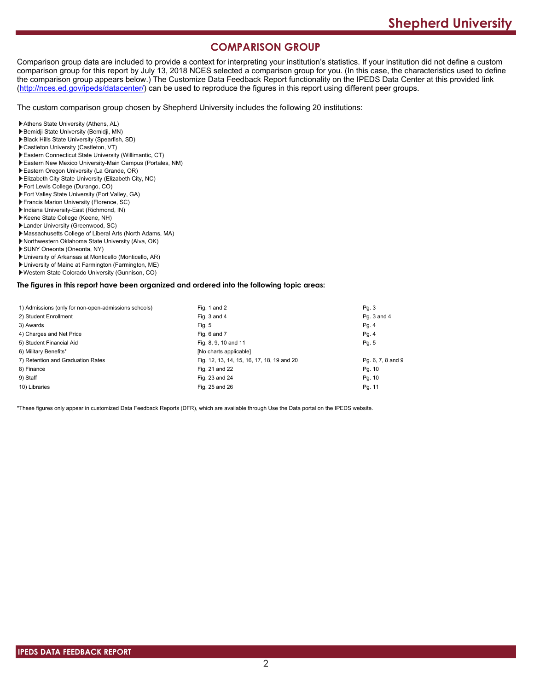# **COMPARISON GROUP**

Comparison group data are included to provide a context for interpreting your institution's statistics. If your institution did not define a custom comparison group for this report by July 13, 2018 NCES selected a comparison group for you. (In this case, the characteristics used to define the comparison group appears below.) The Customize Data Feedback Report functionality on the IPEDS Data Center at this provided link [\(http://nces.ed.gov/ipeds/datacenter/\)](http://nces.ed.gov/ipeds/datacenter/) can be used to reproduce the figures in this report using different peer groups.

The custom comparison group chosen by Shepherd University includes the following 20 institutions:

- Athens State University (Athens, AL)
- Bemidji State University (Bemidji, MN)
- Black Hills State University (Spearfish, SD)
- Castleton University (Castleton, VT)
- Eastern Connecticut State University (Willimantic, CT)
- Eastern New Mexico University-Main Campus (Portales, NM)
- Eastern Oregon University (La Grande, OR)
- Elizabeth City State University (Elizabeth City, NC)
- Fort Lewis College (Durango, CO)
- Fort Valley State University (Fort Valley, GA)
- Francis Marion University (Florence, SC)
- Indiana University-East (Richmond, IN)
- Keene State College (Keene, NH)
- Lander University (Greenwood, SC)
- Massachusetts College of Liberal Arts (North Adams, MA)
- Northwestern Oklahoma State University (Alva, OK)
- SUNY Oneonta (Oneonta, NY)
- University of Arkansas at Monticello (Monticello, AR)
- University of Maine at Farmington (Farmington, ME)
- Western State Colorado University (Gunnison, CO)

**The figures in this report have been organized and ordered into the following topic areas:**

| 1) Admissions (only for non-open-admissions schools) | Fig. 1 and 2                               | Pg. 3             |
|------------------------------------------------------|--------------------------------------------|-------------------|
| 2) Student Enrollment                                | Fig. 3 and 4                               | Pg. 3 and 4       |
| 3) Awards                                            | Fig. 5                                     | Pg. 4             |
| 4) Charges and Net Price                             | Fig. 6 and 7                               | Pg.4              |
| 5) Student Financial Aid                             | Fig. 8, 9, 10 and 11                       | Pg. 5             |
| 6) Military Benefits*                                | [No charts applicable]                     |                   |
| 7) Retention and Graduation Rates                    | Fig. 12, 13, 14, 15, 16, 17, 18, 19 and 20 | Pg. 6, 7, 8 and 9 |
| 8) Finance                                           | Fig. 21 and 22                             | Pg. 10            |
| 9) Staff                                             | Fig. 23 and 24                             | Pg. 10            |
| 10) Libraries                                        | Fig. 25 and 26                             | Pg. 11            |

\*These figures only appear in customized Data Feedback Reports (DFR), which are available through Use the Data portal on the IPEDS website.

 **IPEDS DATA FEEDBACK REPORT**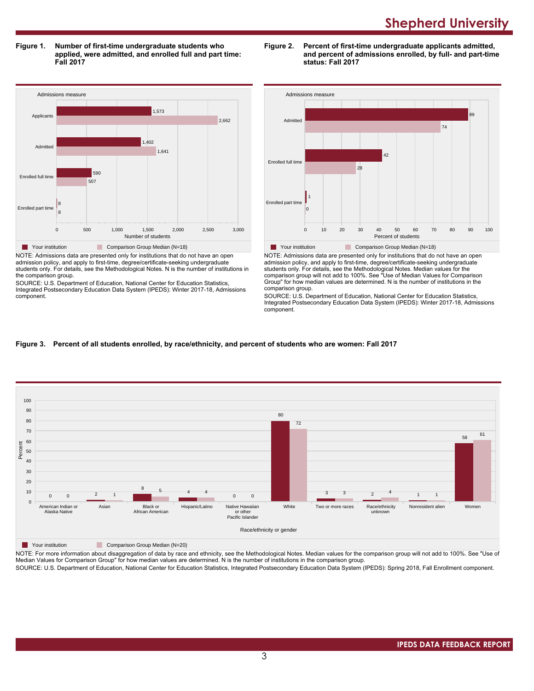**Figure 1. Number of first-time undergraduate students who applied, were admitted, and enrolled full and part time: Fall 2017**

Admissions measure 0 500 1,000 1,500 2,000 2,500 3,000 Number of students Enrolled part time Enrolled full time Admitte Applicants 8 8  $\frac{1}{507}$ 590 1,641 1,402 2,662 1,573 **Table 21 Your institution** Comparison Group Median (N=18)

NOTE: Admissions data are presented only for institutions that do not have an open admission policy, and apply to first-time, degree/certificate-seeking undergraduate students only. For details, see the Methodological Notes. N is the number of institutions in the comparison group.

SOURCE: U.S. Department of Education, National Center for Education Statistics, Integrated Postsecondary Education Data System (IPEDS): Winter 2017-18, Admissions component.





NOTE: Admissions data are presented only for institutions that do not have an open admission policy, and apply to first-time, degree/certificate-seeking undergraduate students only. For details, see the Methodological Notes. Median values for the comparison group will not add to 100%. See "Use of Median Values for Comparison Group" for how median values are determined. N is the number of institutions in the comparison group.

SOURCE: U.S. Department of Education, National Center for Education Statistics, Integrated Postsecondary Education Data System (IPEDS): Winter 2017-18, Admissions component.

### **Figure 3. Percent of all students enrolled, by race/ethnicity, and percent of students who are women: Fall 2017**



**The Your institution Comparison Group Median (N=20)** 

NOTE: For more information about disaggregation of data by race and ethnicity, see the Methodological Notes. Median values for the comparison group will not add to 100%. See "Use of Median Values for Comparison Group" for how median values are determined. N is the number of institutions in the comparison group.

SOURCE: U.S. Department of Education, National Center for Education Statistics, Integrated Postsecondary Education Data System (IPEDS): Spring 2018, Fall Enrollment component.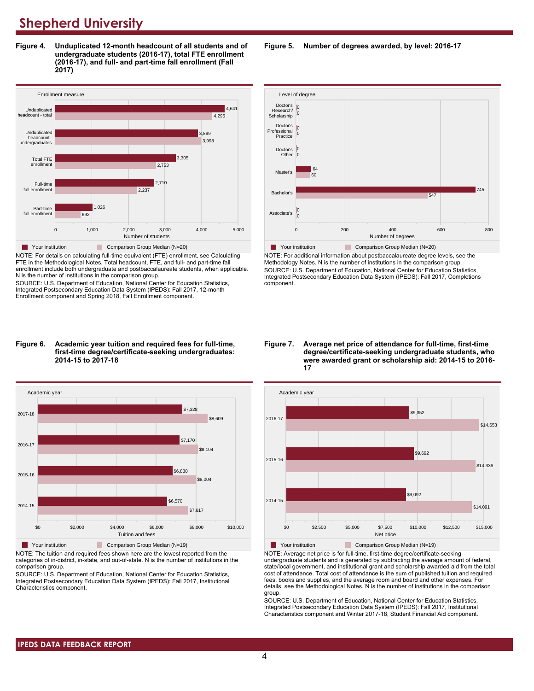**Figure 4. Unduplicated 12-month headcount of all students and of undergraduate students (2016-17), total FTE enrollment (2016-17), and full- and part-time fall enrollment (Fall 2017)**



NOTE: For details on calculating full-time equivalent (FTE) enrollment, see Calculating FTE in the Methodological Notes. Total headcount, FTE, and full- and part-time fall enrollment include both undergraduate and postbaccalaureate students, when applicable. N is the number of institutions in the comparison group.

SOURCE: U.S. Department of Education, National Center for Education Statistics, Integrated Postsecondary Education Data System (IPEDS): Fall 2017, 12-month Enrollment component and Spring 2018, Fall Enrollment component.

#### **Figure 6. Academic year tuition and required fees for full-time, first-time degree/certificate-seeking undergraduates: 2014-15 to 2017-18**



NOTE: The tuition and required fees shown here are the lowest reported from the categories of in-district, in-state, and out-of-state. N is the number of institutions in the comparison group.

SOURCE: U.S. Department of Education, National Center for Education Statistics, Integrated Postsecondary Education Data System (IPEDS): Fall 2017, Institutional Characteristics component.

**Figure 5. Number of degrees awarded, by level: 2016-17**



NOTE: For additional information about postbaccalaureate degree levels, see the Methodology Notes. N is the number of institutions in the comparison group. SOURCE: U.S. Department of Education, National Center for Education Statistics, Integrated Postsecondary Education Data System (IPEDS): Fall 2017, Completions component.

**Figure 7. Average net price of attendance for full-time, first-time degree/certificate-seeking undergraduate students, who were awarded grant or scholarship aid: 2014-15 to 2016- 17**



NOTE: Average net price is for full-time, first-time degree/certificate-seeking undergraduate students and is generated by subtracting the average amount of federal, state/local government, and institutional grant and scholarship awarded aid from the total cost of attendance. Total cost of attendance is the sum of published tuition and required fees, books and supplies, and the average room and board and other expenses. For details, see the Methodological Notes. N is the number of institutions in the comparison group.

SOURCE: U.S. Department of Education, National Center for Education Statistics, Integrated Postsecondary Education Data System (IPEDS): Fall 2017, Institutional Characteristics component and Winter 2017-18, Student Financial Aid component.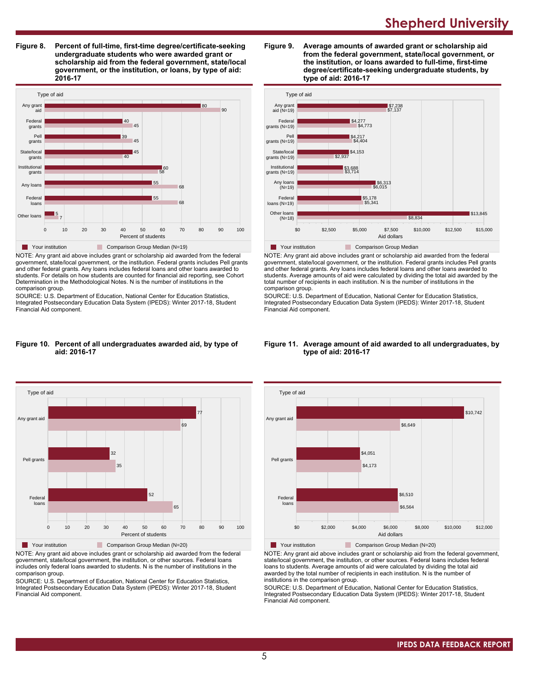**Figure 8. Percent of full-time, first-time degree/certificate-seeking undergraduate students who were awarded grant or scholarship aid from the federal government, state/local government, or the institution, or loans, by type of aid: 2016-17**



NOTE: Any grant aid above includes grant or scholarship aid awarded from the federal government, state/local government, or the institution. Federal grants includes Pell grants and other federal grants. Any loans includes federal loans and other loans awarded to students. For details on how students are counted for financial aid reporting, see Cohort Determination in the Methodological Notes. N is the number of institutions in the comparison group.

SOURCE: U.S. Department of Education, National Center for Education Statistics, Integrated Postsecondary Education Data System (IPEDS): Winter 2017-18, Student Financial Aid component.

#### **Figure 10. Percent of all undergraduates awarded aid, by type of aid: 2016-17**



NOTE: Any grant aid above includes grant or scholarship aid awarded from the federal government, state/local government, the institution, or other sources. Federal loans includes only federal loans awarded to students. N is the number of institutions in the comparison group.

SOURCE: U.S. Department of Education, National Center for Education Statistics, Integrated Postsecondary Education Data System (IPEDS): Winter 2017-18, Student Financial Aid component.





NOTE: Any grant aid above includes grant or scholarship aid awarded from the federal government, state/local government, or the institution. Federal grants includes Pell grants and other federal grants. Any loans includes federal loans and other loans awarded to students. Average amounts of aid were calculated by dividing the total aid awarded by the total number of recipients in each institution. N is the number of institutions in the comparison group.

SOURCE: U.S. Department of Education, National Center for Education Statistics, Integrated Postsecondary Education Data System (IPEDS): Winter 2017-18, Student Financial Aid component.



#### **Figure 11. Average amount of aid awarded to all undergraduates, by type of aid: 2016-17**

Your institution Comparison Group Median (N=20)

NOTE: Any grant aid above includes grant or scholarship aid from the federal government, state/local government, the institution, or other sources. Federal loans includes federal loans to students. Average amounts of aid were calculated by dividing the total aid awarded by the total number of recipients in each institution. N is the number of institutions in the comparison group.

SOURCE: U.S. Department of Education, National Center for Education Statistics, Integrated Postsecondary Education Data System (IPEDS): Winter 2017-18, Student Financial Aid component.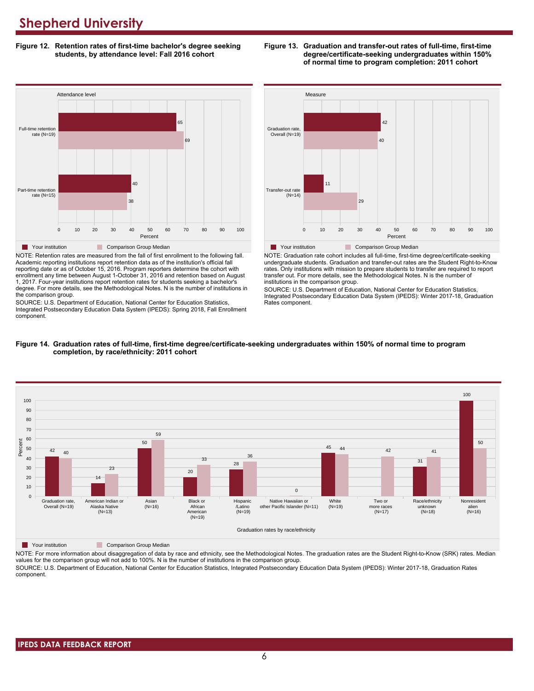**Figure 12. Retention rates of first-time bachelor's degree seeking students, by attendance level: Fall 2016 cohort**

# **Example 2** 0 10 20 30 40 50 60 70 80 90 100 Percent Part-time retention rate (N=15) Full-time retention rate (N=19) 38 40 69 65 Attendance level **The Your institution Comparison Group Median**

NOTE: Retention rates are measured from the fall of first enrollment to the following fall. Academic reporting institutions report retention data as of the institution's official fall reporting date or as of October 15, 2016. Program reporters determine the cohort with enrollment any time between August 1-October 31, 2016 and retention based on August 1, 2017. Four-year institutions report retention rates for students seeking a bachelor's degree. For more details, see the Methodological Notes. N is the number of institutions in the comparison group.

SOURCE: U.S. Department of Education, National Center for Education Statistics, Integrated Postsecondary Education Data System (IPEDS): Spring 2018, Fall Enrollment component.



**Figure 13. Graduation and transfer-out rates of full-time, first-time**

**degree/certificate-seeking undergraduates within 150% of normal time to program completion: 2011 cohort**

**Table Your institution Comparison Group Median** 

NOTE: Graduation rate cohort includes all full-time, first-time degree/certificate-seeking undergraduate students. Graduation and transfer-out rates are the Student Right-to-Know rates. Only institutions with mission to prepare students to transfer are required to report transfer out. For more details, see the Methodological Notes. N is the number of institutions in the comparison group.

0 10 20 30 40 50 60 70 80 90 100 Percent

SOURCE: U.S. Department of Education, National Center for Education Statistics, Integrated Postsecondary Education Data System (IPEDS): Winter 2017-18, Graduation Rates component.



#### **Figure 14. Graduation rates of full-time, first-time degree/certificate-seeking undergraduates within 150% of normal time to program completion, by race/ethnicity: 2011 cohort**

**The Your institution** Comparison Group Median

NOTE: For more information about disaggregation of data by race and ethnicity, see the Methodological Notes. The graduation rates are the Student Right-to-Know (SRK) rates. Median values for the comparison group will not add to 100%. N is the number of institutions in the comparison group. SOURCE: U.S. Department of Education, National Center for Education Statistics, Integrated Postsecondary Education Data System (IPEDS): Winter 2017-18, Graduation Rates

component.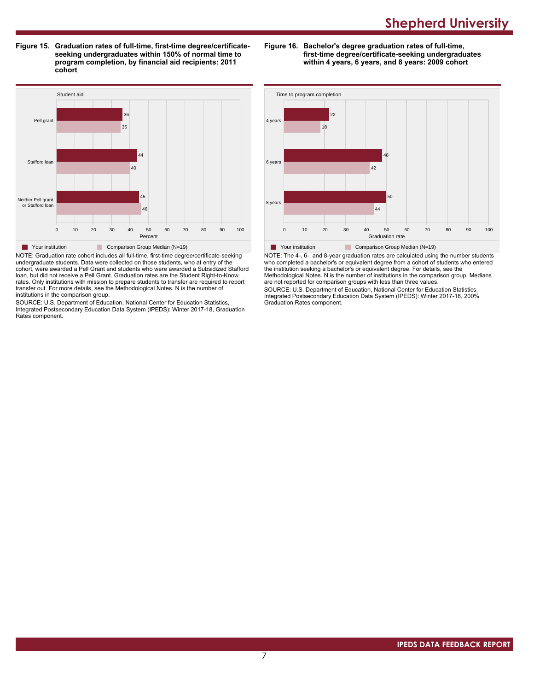**Figure 15. Graduation rates of full-time, first-time degree/certificateseeking undergraduates within 150% of normal time to program completion, by financial aid recipients: 2011 cohort**

**Figure 16. Bachelor's degree graduation rates of full-time, first-time degree/certificate-seeking undergraduates within 4 years, 6 years, and 8 years: 2009 cohort**



NOTE: Graduation rate cohort includes all full-time, first-time degree/certificate-seeking undergraduate students. Data were collected on those students, who at entry of the cohort, were awarded a Pell Grant and students who were awarded a Subsidized Stafford loan, but did not receive a Pell Grant. Graduation rates are the Student Right-to-Know rates. Only institutions with mission to prepare students to transfer are required to report transfer out. For more details, see the Methodological Notes. N is the number of institutions in the comparison group.

SOURCE: U.S. Department of Education, National Center for Education Statistics, Integrated Postsecondary Education Data System (IPEDS): Winter 2017-18, Graduation Rates component.



NOTE: The 4-, 6-, and 8-year graduation rates are calculated using the number students who completed a bachelor's or equivalent degree from a cohort of students who entered the institution seeking a bachelor's or equivalent degree. For details, see the Methodological Notes. N is the number of institutions in the comparison group. Medians are not reported for comparison groups with less than three values.

SOURCE: U.S. Department of Education, National Center for Education Statistics, Integrated Postsecondary Education Data System (IPEDS): Winter 2017-18, 200% Graduation Rates component.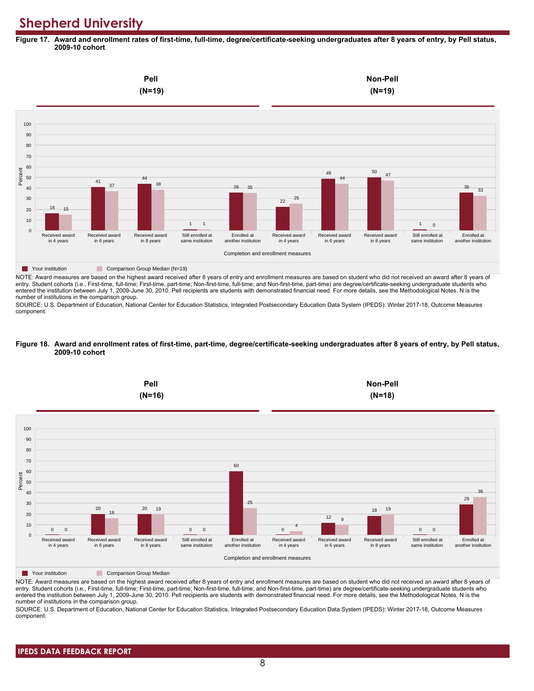**Figure 17. Award and enrollment rates of first-time, full-time, degree/certificate-seeking undergraduates after 8 years of entry, by Pell status, 2009-10 cohort**



NOTE: Award measures are based on the highest award received after 8 years of entry and enrollment measures are based on student who did not received an award after 8 years of entry. Student cohorts (i.e., First-time, full-time; First-time, part-time; Non-first-time, full-time; and Non-first-time, part-time) are degree/certificate-seeking undergraduate students who entered the institution between July 1, 2009-June 30, 2010. Pell recipients are students with demonstrated financial need. For more details, see the Methodological Notes. N is the number of institutions in the comparison group.

SOURCE: U.S. Department of Education, National Center for Education Statistics, Integrated Postsecondary Education Data System (IPEDS): Winter 2017-18, Outcome Measures component.

#### **Figure 18. Award and enrollment rates of first-time, part-time, degree/certificate-seeking undergraduates after 8 years of entry, by Pell status, 2009-10 cohort**



NOTE: Award measures are based on the highest award received after 8 years of entry and enrollment measures are based on student who did not received an award after 8 years of entry. Student cohorts (i.e., First-time, full-time; First-time, part-time; Non-first-time, full-time; and Non-first-time, part-time) are degree/certificate-seeking undergraduate students who entered the institution between July 1, 2009-June 30, 2010. Pell recipients are students with demonstrated financial need. For more details, see the Methodological Notes. N is the number of institutions in the comparison group.

SOURCE: U.S. Department of Education, National Center for Education Statistics, Integrated Postsecondary Education Data System (IPEDS): Winter 2017-18, Outcome Measures component.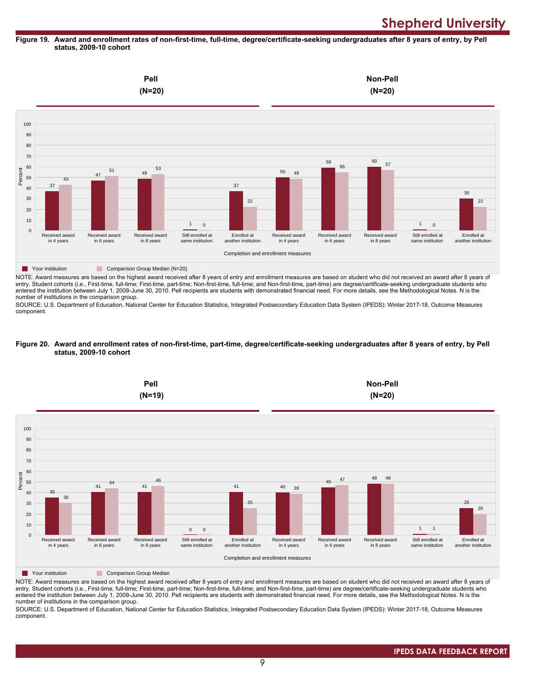### **Figure 19. Award and enrollment rates of non-first-time, full-time, degree/certificate-seeking undergraduates after 8 years of entry, by Pell status, 2009-10 cohort**



NOTE: Award measures are based on the highest award received after 8 years of entry and enrollment measures are based on student who did not received an award after 8 years of entry. Student cohorts (i.e., First-time, full-time; First-time, part-time; Non-first-time, full-time; and Non-first-time, part-time) are degree/certificate-seeking undergraduate students who entered the institution between July 1, 2009-June 30, 2010. Pell recipients are students with demonstrated financial need. For more details, see the Methodological Notes. N is the number of institutions in the comparison group.

SOURCE: U.S. Department of Education, National Center for Education Statistics, Integrated Postsecondary Education Data System (IPEDS): Winter 2017-18, Outcome Measures component.

#### **Figure 20. Award and enrollment rates of non-first-time, part-time, degree/certificate-seeking undergraduates after 8 years of entry, by Pell status, 2009-10 cohort**



NOTE: Award measures are based on the highest award received after 8 years of entry and enrollment measures are based on student who did not received an award after 8 years of entry. Student cohorts (i.e., First-time, full-time; First-time, part-time; Non-first-time, full-time; and Non-first-time, part-time) are degree/certificate-seeking undergraduate students who entered the institution between July 1, 2009-June 30, 2010. Pell recipients are students with demonstrated financial need. For more details, see the Methodological Notes. N is the number of institutions in the comparison group.

SOURCE: U.S. Department of Education, National Center for Education Statistics, Integrated Postsecondary Education Data System (IPEDS): Winter 2017-18, Outcome Measures component.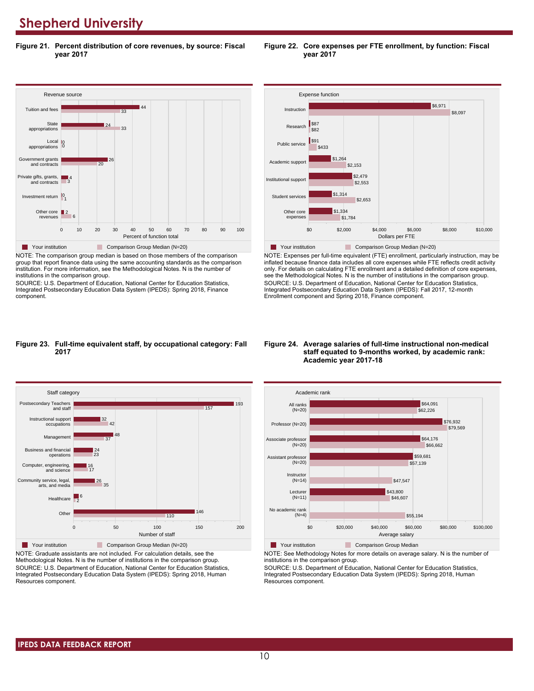**Figure 21. Percent distribution of core revenues, by source: Fiscal year 2017**



NOTE: The comparison group median is based on those members of the comparison group that report finance data using the same accounting standards as the comparison institution. For more information, see the Methodological Notes. N is the number of institutions in the comparison group.

SOURCE: U.S. Department of Education, National Center for Education Statistics, Integrated Postsecondary Education Data System (IPEDS): Spring 2018, Finance component.





NOTE: Expenses per full-time equivalent (FTE) enrollment, particularly instruction, may be inflated because finance data includes all core expenses while FTE reflects credit activity only. For details on calculating FTE enrollment and a detailed definition of core expenses, see the Methodological Notes. N is the number of institutions in the comparison group. SOURCE: U.S. Department of Education, National Center for Education Statistics, Integrated Postsecondary Education Data System (IPEDS): Fall 2017, 12-month Enrollment component and Spring 2018, Finance component.

#### **Figure 23. Full-time equivalent staff, by occupational category: Fall 2017**



NOTE: Graduate assistants are not included. For calculation details, see the Methodological Notes. N is the number of institutions in the comparison group. SOURCE: U.S. Department of Education, National Center for Education Statistics, Integrated Postsecondary Education Data System (IPEDS): Spring 2018, Human Resources component.

#### **Figure 24. Average salaries of full-time instructional non-medical staff equated to 9-months worked, by academic rank: Academic year 2017-18**



**The Your institution Comparison Group Median** 

NOTE: See Methodology Notes for more details on average salary. N is the number of institutions in the comparison group.

SOURCE: U.S. Department of Education, National Center for Education Statistics, Integrated Postsecondary Education Data System (IPEDS): Spring 2018, Human Resources component.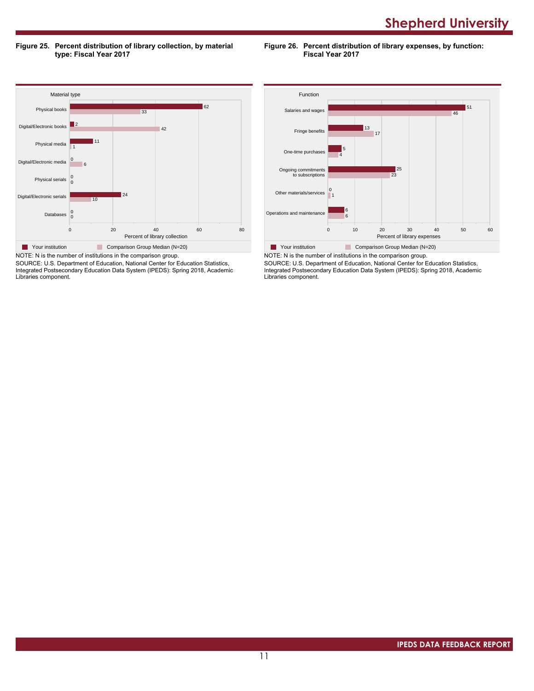**Figure 25. Percent distribution of library collection, by material type: Fiscal Year 2017**

**Figure 26. Percent distribution of library expenses, by function: Fiscal Year 2017**



SOURCE: U.S. Department of Education, National Center for Education Statistics, Integrated Postsecondary Education Data System (IPEDS): Spring 2018, Academic Libraries component.



SOURCE: U.S. Department of Education, National Center for Education Statistics, Integrated Postsecondary Education Data System (IPEDS): Spring 2018, Academic Libraries component.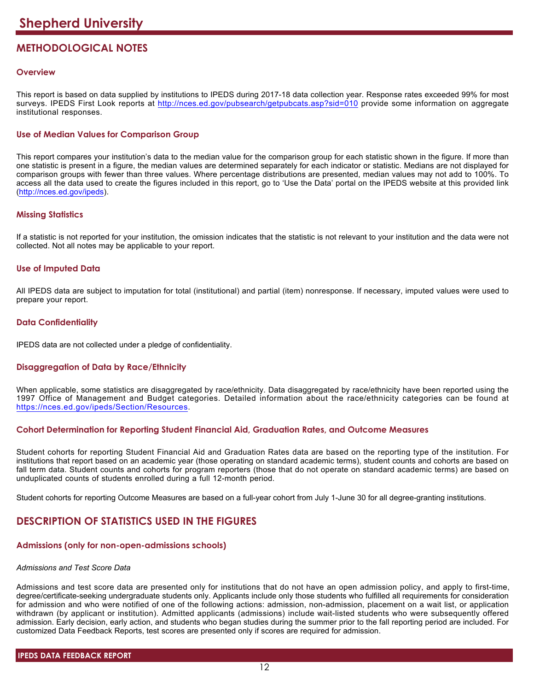# **METHODOLOGICAL NOTES**

# **Overview**

This report is based on data supplied by institutions to IPEDS during 2017-18 data collection year. Response rates exceeded 99% for most surveys. IPEDS First Look reports at <http://nces.ed.gov/pubsearch/getpubcats.asp?sid=010> provide some information on aggregate institutional responses.

# **Use of Median Values for Comparison Group**

This report compares your institution's data to the median value for the comparison group for each statistic shown in the figure. If more than one statistic is present in a figure, the median values are determined separately for each indicator or statistic. Medians are not displayed for comparison groups with fewer than three values. Where percentage distributions are presented, median values may not add to 100%. To access all the data used to create the figures included in this report, go to 'Use the Data' portal on the IPEDS website at this provided link (<http://nces.ed.gov/ipeds>).

# **Missing Statistics**

If a statistic is not reported for your institution, the omission indicates that the statistic is not relevant to your institution and the data were not collected. Not all notes may be applicable to your report.

# **Use of Imputed Data**

All IPEDS data are subject to imputation for total (institutional) and partial (item) nonresponse. If necessary, imputed values were used to prepare your report.

# **Data Confidentiality**

IPEDS data are not collected under a pledge of confidentiality.

# **Disaggregation of Data by Race/Ethnicity**

When applicable, some statistics are disaggregated by race/ethnicity. Data disaggregated by race/ethnicity have been reported using the 1997 Office of Management and Budget categories. Detailed information about the race/ethnicity categories can be found at <https://nces.ed.gov/ipeds/Section/Resources>.

# **Cohort Determination for Reporting Student Financial Aid, Graduation Rates, and Outcome Measures**

Student cohorts for reporting Student Financial Aid and Graduation Rates data are based on the reporting type of the institution. For institutions that report based on an academic year (those operating on standard academic terms), student counts and cohorts are based on fall term data. Student counts and cohorts for program reporters (those that do not operate on standard academic terms) are based on unduplicated counts of students enrolled during a full 12-month period.

Student cohorts for reporting Outcome Measures are based on a full-year cohort from July 1-June 30 for all degree-granting institutions.

# **DESCRIPTION OF STATISTICS USED IN THE FIGURES**

# **Admissions (only for non-open-admissions schools)**

### *Admissions and Test Score Data*

Admissions and test score data are presented only for institutions that do not have an open admission policy, and apply to first-time, degree/certificate-seeking undergraduate students only. Applicants include only those students who fulfilled all requirements for consideration for admission and who were notified of one of the following actions: admission, non-admission, placement on a wait list, or application withdrawn (by applicant or institution). Admitted applicants (admissions) include wait-listed students who were subsequently offered admission. Early decision, early action, and students who began studies during the summer prior to the fall reporting period are included. For customized Data Feedback Reports, test scores are presented only if scores are required for admission.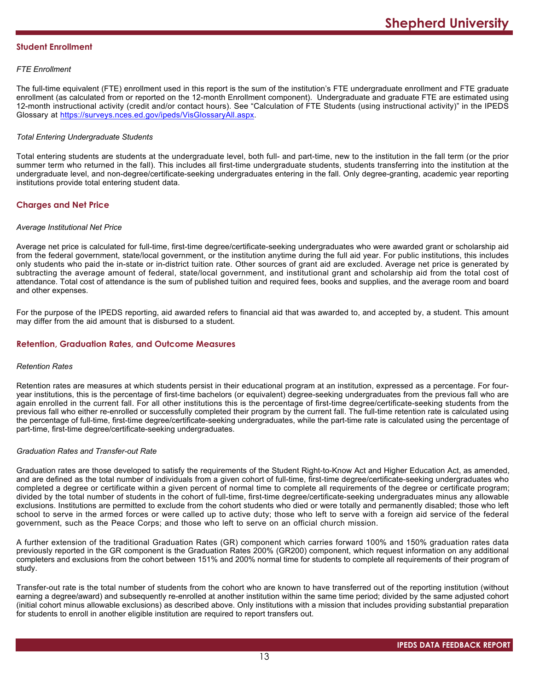# **Student Enrollment**

# *FTE Enrollment*

The full-time equivalent (FTE) enrollment used in this report is the sum of the institution's FTE undergraduate enrollment and FTE graduate enrollment (as calculated from or reported on the 12-month Enrollment component). Undergraduate and graduate FTE are estimated using 12-month instructional activity (credit and/or contact hours). See "Calculation of FTE Students (using instructional activity)" in the IPEDS Glossary at <https://surveys.nces.ed.gov/ipeds/VisGlossaryAll.aspx>.

# *Total Entering Undergraduate Students*

Total entering students are students at the undergraduate level, both full- and part-time, new to the institution in the fall term (or the prior summer term who returned in the fall). This includes all first-time undergraduate students, students transferring into the institution at the undergraduate level, and non-degree/certificate-seeking undergraduates entering in the fall. Only degree-granting, academic year reporting institutions provide total entering student data.

# **Charges and Net Price**

### *Average Institutional Net Price*

Average net price is calculated for full-time, first-time degree/certificate-seeking undergraduates who were awarded grant or scholarship aid from the federal government, state/local government, or the institution anytime during the full aid year. For public institutions, this includes only students who paid the in-state or in-district tuition rate. Other sources of grant aid are excluded. Average net price is generated by subtracting the average amount of federal, state/local government, and institutional grant and scholarship aid from the total cost of attendance. Total cost of attendance is the sum of published tuition and required fees, books and supplies, and the average room and board and other expenses.

For the purpose of the IPEDS reporting, aid awarded refers to financial aid that was awarded to, and accepted by, a student. This amount may differ from the aid amount that is disbursed to a student.

# **Retention, Graduation Rates, and Outcome Measures**

### *Retention Rates*

Retention rates are measures at which students persist in their educational program at an institution, expressed as a percentage. For fouryear institutions, this is the percentage of first-time bachelors (or equivalent) degree-seeking undergraduates from the previous fall who are again enrolled in the current fall. For all other institutions this is the percentage of first-time degree/certificate-seeking students from the previous fall who either re-enrolled or successfully completed their program by the current fall. The full-time retention rate is calculated using the percentage of full-time, first-time degree/certificate-seeking undergraduates, while the part-time rate is calculated using the percentage of part-time, first-time degree/certificate-seeking undergraduates.

## *Graduation Rates and Transfer-out Rate*

Graduation rates are those developed to satisfy the requirements of the Student Right-to-Know Act and Higher Education Act, as amended, and are defined as the total number of individuals from a given cohort of full-time, first-time degree/certificate-seeking undergraduates who completed a degree or certificate within a given percent of normal time to complete all requirements of the degree or certificate program; divided by the total number of students in the cohort of full-time, first-time degree/certificate-seeking undergraduates minus any allowable exclusions. Institutions are permitted to exclude from the cohort students who died or were totally and permanently disabled; those who left school to serve in the armed forces or were called up to active duty; those who left to serve with a foreign aid service of the federal government, such as the Peace Corps; and those who left to serve on an official church mission.

A further extension of the traditional Graduation Rates (GR) component which carries forward 100% and 150% graduation rates data previously reported in the GR component is the Graduation Rates 200% (GR200) component, which request information on any additional completers and exclusions from the cohort between 151% and 200% normal time for students to complete all requirements of their program of study.

Transfer-out rate is the total number of students from the cohort who are known to have transferred out of the reporting institution (without earning a degree/award) and subsequently re-enrolled at another institution within the same time period; divided by the same adjusted cohort (initial cohort minus allowable exclusions) as described above. Only institutions with a mission that includes providing substantial preparation for students to enroll in another eligible institution are required to report transfers out.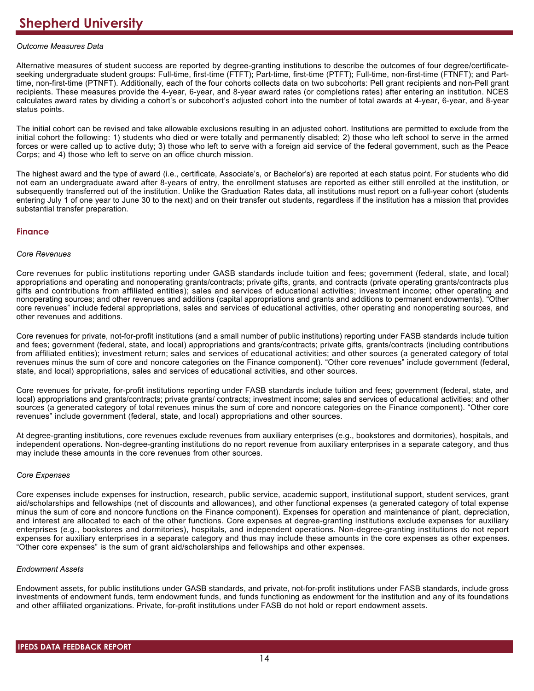# *Outcome Measures Data*

Alternative measures of student success are reported by degree-granting institutions to describe the outcomes of four degree/certificateseeking undergraduate student groups: Full-time, first-time (FTFT); Part-time, first-time (PTFT); Full-time, non-first-time (FTNFT); and Parttime, non-first-time (PTNFT). Additionally, each of the four cohorts collects data on two subcohorts: Pell grant recipients and non-Pell grant recipients. These measures provide the 4-year, 6-year, and 8-year award rates (or completions rates) after entering an institution. NCES calculates award rates by dividing a cohort's or subcohort's adjusted cohort into the number of total awards at 4-year, 6-year, and 8-year status points.

The initial cohort can be revised and take allowable exclusions resulting in an adjusted cohort. Institutions are permitted to exclude from the initial cohort the following: 1) students who died or were totally and permanently disabled; 2) those who left school to serve in the armed forces or were called up to active duty; 3) those who left to serve with a foreign aid service of the federal government, such as the Peace Corps; and 4) those who left to serve on an office church mission.

The highest award and the type of award (i.e., certificate, Associate's, or Bachelor's) are reported at each status point. For students who did not earn an undergraduate award after 8-years of entry, the enrollment statuses are reported as either still enrolled at the institution, or subsequently transferred out of the institution. Unlike the Graduation Rates data, all institutions must report on a full-year cohort (students entering July 1 of one year to June 30 to the next) and on their transfer out students, regardless if the institution has a mission that provides substantial transfer preparation.

# **Finance**

### *Core Revenues*

Core revenues for public institutions reporting under GASB standards include tuition and fees; government (federal, state, and local) appropriations and operating and nonoperating grants/contracts; private gifts, grants, and contracts (private operating grants/contracts plus gifts and contributions from affiliated entities); sales and services of educational activities; investment income; other operating and nonoperating sources; and other revenues and additions (capital appropriations and grants and additions to permanent endowments). "Other core revenues" include federal appropriations, sales and services of educational activities, other operating and nonoperating sources, and other revenues and additions.

Core revenues for private, not-for-profit institutions (and a small number of public institutions) reporting under FASB standards include tuition and fees; government (federal, state, and local) appropriations and grants/contracts; private gifts, grants/contracts (including contributions from affiliated entities); investment return; sales and services of educational activities; and other sources (a generated category of total revenues minus the sum of core and noncore categories on the Finance component). "Other core revenues" include government (federal, state, and local) appropriations, sales and services of educational activities, and other sources.

Core revenues for private, for-profit institutions reporting under FASB standards include tuition and fees; government (federal, state, and local) appropriations and grants/contracts; private grants/ contracts; investment income; sales and services of educational activities; and other sources (a generated category of total revenues minus the sum of core and noncore categories on the Finance component). "Other core revenues" include government (federal, state, and local) appropriations and other sources.

At degree-granting institutions, core revenues exclude revenues from auxiliary enterprises (e.g., bookstores and dormitories), hospitals, and independent operations. Non-degree-granting institutions do no report revenue from auxiliary enterprises in a separate category, and thus may include these amounts in the core revenues from other sources.

### *Core Expenses*

Core expenses include expenses for instruction, research, public service, academic support, institutional support, student services, grant aid/scholarships and fellowships (net of discounts and allowances), and other functional expenses (a generated category of total expense minus the sum of core and noncore functions on the Finance component). Expenses for operation and maintenance of plant, depreciation, and interest are allocated to each of the other functions. Core expenses at degree-granting institutions exclude expenses for auxiliary enterprises (e.g., bookstores and dormitories), hospitals, and independent operations. Non-degree-granting institutions do not report expenses for auxiliary enterprises in a separate category and thus may include these amounts in the core expenses as other expenses. "Other core expenses" is the sum of grant aid/scholarships and fellowships and other expenses.

### *Endowment Assets*

Endowment assets, for public institutions under GASB standards, and private, not-for-profit institutions under FASB standards, include gross investments of endowment funds, term endowment funds, and funds functioning as endowment for the institution and any of its foundations and other affiliated organizations. Private, for-profit institutions under FASB do not hold or report endowment assets.